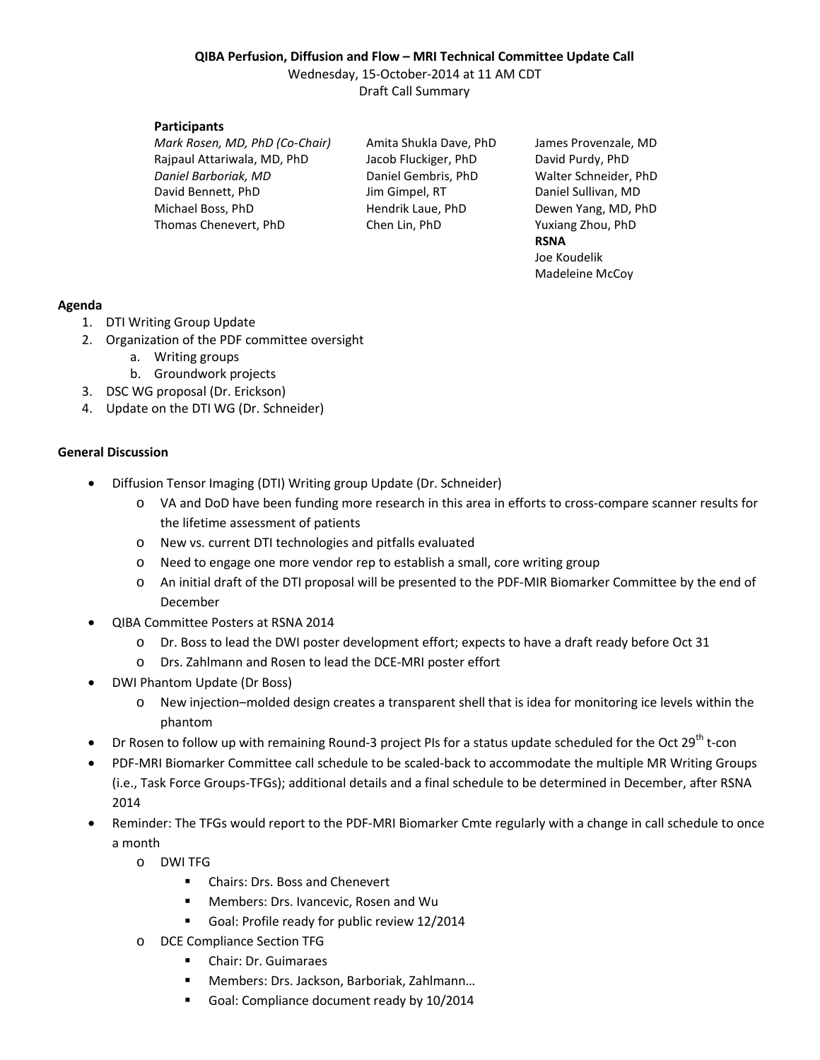## **QIBA Perfusion, Diffusion and Flow – MRI Technical Committee Update Call**

Wednesday, 15-October-2014 at 11 AM CDT Draft Call Summary

## **Participants**

*Mark Rosen, MD, PhD (Co-Chair)* Amita Shukla Dave, PhD James Provenzale, MD Rajpaul Attariwala, MD, PhD Jacob Fluckiger, PhD David Purdy, PhD *Daniel Barboriak, MD* Daniel Gembris, PhD Walter Schneider, PhD David Bennett, PhD **Jim Gimpel, RT** Daniel Sullivan, MD Michael Boss, PhD Hendrik Laue, PhD Dewen Yang, MD, PhD Thomas Chenevert, PhD Chen Lin, PhD Yuxiang Zhou, PhD

**RSNA** Joe Koudelik Madeleine McCoy

## **Agenda**

- 1. DTI Writing Group Update
- 2. Organization of the PDF committee oversight
	- a. Writing groups
	- b. Groundwork projects
- 3. DSC WG proposal (Dr. Erickson)
- 4. Update on the DTI WG (Dr. Schneider)

## **General Discussion**

- · Diffusion Tensor Imaging (DTI) Writing group Update (Dr. Schneider)
	- o VA and DoD have been funding more research in this area in efforts to cross-compare scanner results for the lifetime assessment of patients
	- o New vs. current DTI technologies and pitfalls evaluated
	- o Need to engage one more vendor rep to establish a small, core writing group
	- o An initial draft of the DTI proposal will be presented to the PDF-MIR Biomarker Committee by the end of December
- · QIBA Committee Posters at RSNA 2014
	- o Dr. Boss to lead the DWI poster development effort; expects to have a draft ready before Oct 31
	- o Drs. Zahlmann and Rosen to lead the DCE-MRI poster effort
- · DWI Phantom Update (Dr Boss)
	- o New injection–molded design creates a transparent shell that is idea for monitoring ice levels within the phantom
- Dr Rosen to follow up with remaining Round-3 project PIs for a status update scheduled for the Oct 29<sup>th</sup> t-con
- · PDF-MRI Biomarker Committee call schedule to be scaled-back to accommodate the multiple MR Writing Groups (i.e., Task Force Groups-TFGs); additional details and a final schedule to be determined in December, after RSNA 2014
- Reminder: The TFGs would report to the PDF-MRI Biomarker Cmte regularly with a change in call schedule to once a month
	- o DWI TFG
		- Chairs: Drs. Boss and Chenevert
		- **Members: Drs. Ivancevic, Rosen and Wu**
		- Goal: Profile ready for public review 12/2014
	- o DCE Compliance Section TFG
		- **•** Chair: Dr. Guimaraes
		- Members: Drs. Jackson, Barboriak, Zahlmann…
		- Goal: Compliance document ready by 10/2014